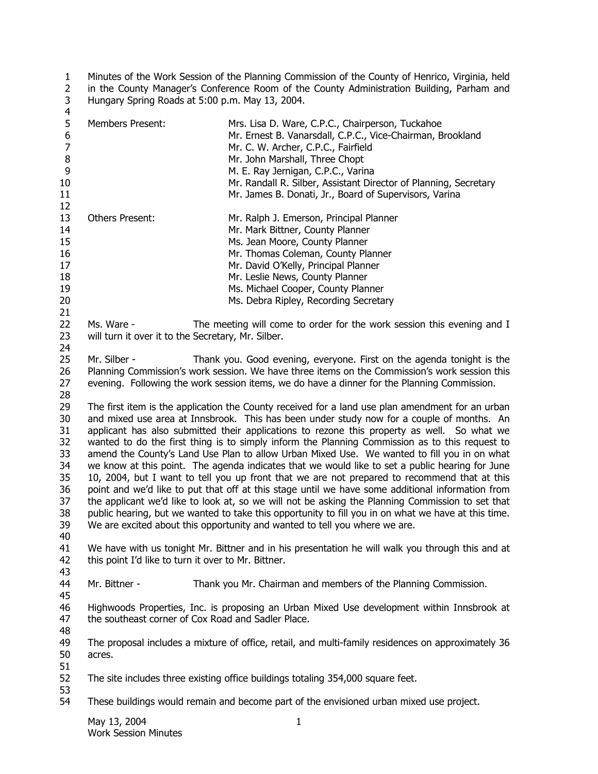1  $\overline{2}$ 3 Minutes of the Work Session of the Planning Commission of the County of Henrico, Virginia, held in the County Manager's Conference Room of the County Administration Building, Parham and Hungary Spring Roads at 5:00 p.m. May 13, 2004.

| 4                                                                                                                                                                                                                                                                                                                                                                                                                                                                                                                                                                                                                                                                                                                                                                                                                                                                                                                                                                                                                                                                                                                                                                     |                                                                                 |                                                                                                                                                                                                                                                                       |  |
|-----------------------------------------------------------------------------------------------------------------------------------------------------------------------------------------------------------------------------------------------------------------------------------------------------------------------------------------------------------------------------------------------------------------------------------------------------------------------------------------------------------------------------------------------------------------------------------------------------------------------------------------------------------------------------------------------------------------------------------------------------------------------------------------------------------------------------------------------------------------------------------------------------------------------------------------------------------------------------------------------------------------------------------------------------------------------------------------------------------------------------------------------------------------------|---------------------------------------------------------------------------------|-----------------------------------------------------------------------------------------------------------------------------------------------------------------------------------------------------------------------------------------------------------------------|--|
| 5<br>6<br>$\overline{7}$<br>8<br>9                                                                                                                                                                                                                                                                                                                                                                                                                                                                                                                                                                                                                                                                                                                                                                                                                                                                                                                                                                                                                                                                                                                                    | Members Present:                                                                | Mrs. Lisa D. Ware, C.P.C., Chairperson, Tuckahoe<br>Mr. Ernest B. Vanarsdall, C.P.C., Vice-Chairman, Brookland<br>Mr. C. W. Archer, C.P.C., Fairfield<br>Mr. John Marshall, Three Chopt<br>M. E. Ray Jernigan, C.P.C., Varina                                         |  |
| 10<br>11<br>12                                                                                                                                                                                                                                                                                                                                                                                                                                                                                                                                                                                                                                                                                                                                                                                                                                                                                                                                                                                                                                                                                                                                                        |                                                                                 | Mr. Randall R. Silber, Assistant Director of Planning, Secretary<br>Mr. James B. Donati, Jr., Board of Supervisors, Varina                                                                                                                                            |  |
| 13<br>14                                                                                                                                                                                                                                                                                                                                                                                                                                                                                                                                                                                                                                                                                                                                                                                                                                                                                                                                                                                                                                                                                                                                                              | <b>Others Present:</b>                                                          | Mr. Ralph J. Emerson, Principal Planner<br>Mr. Mark Bittner, County Planner                                                                                                                                                                                           |  |
| 15<br>16<br>17<br>18<br>19<br>20<br>21                                                                                                                                                                                                                                                                                                                                                                                                                                                                                                                                                                                                                                                                                                                                                                                                                                                                                                                                                                                                                                                                                                                                |                                                                                 | Ms. Jean Moore, County Planner<br>Mr. Thomas Coleman, County Planner<br>Mr. David O'Kelly, Principal Planner<br>Mr. Leslie News, County Planner<br>Ms. Michael Cooper, County Planner<br>Ms. Debra Ripley, Recording Secretary                                        |  |
| 22<br>23<br>24                                                                                                                                                                                                                                                                                                                                                                                                                                                                                                                                                                                                                                                                                                                                                                                                                                                                                                                                                                                                                                                                                                                                                        | Ms. Ware -<br>will turn it over it to the Secretary, Mr. Silber.                | The meeting will come to order for the work session this evening and I                                                                                                                                                                                                |  |
| 25<br>26<br>27<br>28                                                                                                                                                                                                                                                                                                                                                                                                                                                                                                                                                                                                                                                                                                                                                                                                                                                                                                                                                                                                                                                                                                                                                  | Mr. Silber -                                                                    | Thank you. Good evening, everyone. First on the agenda tonight is the<br>Planning Commission's work session. We have three items on the Commission's work session this<br>evening. Following the work session items, we do have a dinner for the Planning Commission. |  |
| 29<br>The first item is the application the County received for a land use plan amendment for an urban<br>30<br>and mixed use area at Innsbrook. This has been under study now for a couple of months. An<br>31<br>applicant has also submitted their applications to rezone this property as well. So what we<br>32<br>wanted to do the first thing is to simply inform the Planning Commission as to this request to<br>33<br>amend the County's Land Use Plan to allow Urban Mixed Use. We wanted to fill you in on what<br>we know at this point. The agenda indicates that we would like to set a public hearing for June<br>34<br>35<br>10, 2004, but I want to tell you up front that we are not prepared to recommend that at this<br>36<br>point and we'd like to put that off at this stage until we have some additional information from<br>37<br>the applicant we'd like to look at, so we will not be asking the Planning Commission to set that<br>public hearing, but we wanted to take this opportunity to fill you in on what we have at this time.<br>38<br>We are excited about this opportunity and wanted to tell you where we are.<br>39<br>40 |                                                                                 |                                                                                                                                                                                                                                                                       |  |
| 41<br>42<br>43                                                                                                                                                                                                                                                                                                                                                                                                                                                                                                                                                                                                                                                                                                                                                                                                                                                                                                                                                                                                                                                                                                                                                        | this point I'd like to turn it over to Mr. Bittner.                             | We have with us tonight Mr. Bittner and in his presentation he will walk you through this and at                                                                                                                                                                      |  |
| 44<br>45                                                                                                                                                                                                                                                                                                                                                                                                                                                                                                                                                                                                                                                                                                                                                                                                                                                                                                                                                                                                                                                                                                                                                              | Mr. Bittner -                                                                   | Thank you Mr. Chairman and members of the Planning Commission.                                                                                                                                                                                                        |  |
| 46<br>47<br>48                                                                                                                                                                                                                                                                                                                                                                                                                                                                                                                                                                                                                                                                                                                                                                                                                                                                                                                                                                                                                                                                                                                                                        | the southeast corner of Cox Road and Sadler Place.                              | Highwoods Properties, Inc. is proposing an Urban Mixed Use development within Innsbrook at                                                                                                                                                                            |  |
| 49<br>50<br>51                                                                                                                                                                                                                                                                                                                                                                                                                                                                                                                                                                                                                                                                                                                                                                                                                                                                                                                                                                                                                                                                                                                                                        | acres.                                                                          | The proposal includes a mixture of office, retail, and multi-family residences on approximately 36                                                                                                                                                                    |  |
| 52<br>53                                                                                                                                                                                                                                                                                                                                                                                                                                                                                                                                                                                                                                                                                                                                                                                                                                                                                                                                                                                                                                                                                                                                                              | The site includes three existing office buildings totaling 354,000 square feet. |                                                                                                                                                                                                                                                                       |  |
| 54                                                                                                                                                                                                                                                                                                                                                                                                                                                                                                                                                                                                                                                                                                                                                                                                                                                                                                                                                                                                                                                                                                                                                                    |                                                                                 | These buildings would remain and become part of the envisioned urban mixed use project.                                                                                                                                                                               |  |
|                                                                                                                                                                                                                                                                                                                                                                                                                                                                                                                                                                                                                                                                                                                                                                                                                                                                                                                                                                                                                                                                                                                                                                       | May 13, 2004                                                                    | $\mathbf{1}$                                                                                                                                                                                                                                                          |  |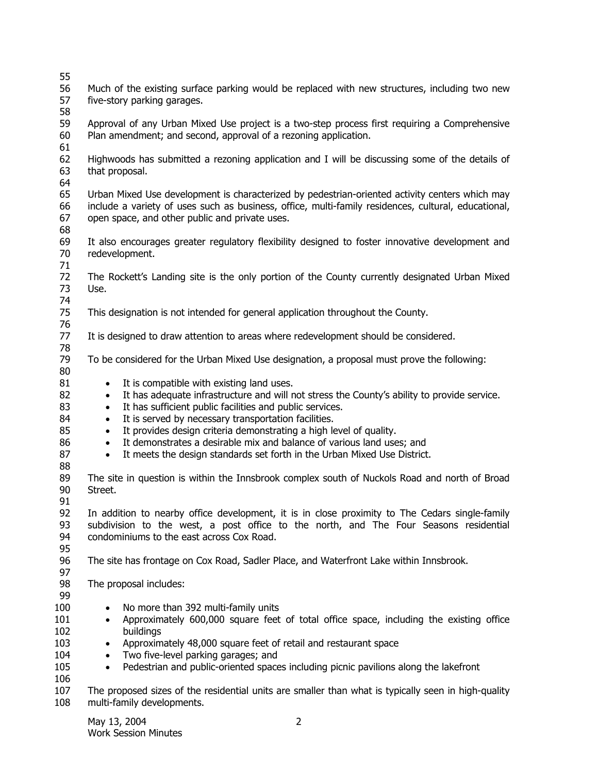| 55                                           |                                                                                                                                                                                                                                                                                                                                                                                                                                                                                                                                                                                    |  |  |  |  |
|----------------------------------------------|------------------------------------------------------------------------------------------------------------------------------------------------------------------------------------------------------------------------------------------------------------------------------------------------------------------------------------------------------------------------------------------------------------------------------------------------------------------------------------------------------------------------------------------------------------------------------------|--|--|--|--|
| 56<br>57                                     | Much of the existing surface parking would be replaced with new structures, including two new<br>five-story parking garages.                                                                                                                                                                                                                                                                                                                                                                                                                                                       |  |  |  |  |
| 58<br>59<br>60                               | Approval of any Urban Mixed Use project is a two-step process first requiring a Comprehensive<br>Plan amendment; and second, approval of a rezoning application.                                                                                                                                                                                                                                                                                                                                                                                                                   |  |  |  |  |
| 61<br>62<br>63<br>64                         | Highwoods has submitted a rezoning application and I will be discussing some of the details of<br>that proposal.                                                                                                                                                                                                                                                                                                                                                                                                                                                                   |  |  |  |  |
| 65<br>66<br>67                               | Urban Mixed Use development is characterized by pedestrian-oriented activity centers which may<br>include a variety of uses such as business, office, multi-family residences, cultural, educational,<br>open space, and other public and private uses.                                                                                                                                                                                                                                                                                                                            |  |  |  |  |
| 68<br>69<br>70<br>71                         | It also encourages greater regulatory flexibility designed to foster innovative development and<br>redevelopment.                                                                                                                                                                                                                                                                                                                                                                                                                                                                  |  |  |  |  |
| 72<br>73<br>74                               | The Rockett's Landing site is the only portion of the County currently designated Urban Mixed<br>Use.                                                                                                                                                                                                                                                                                                                                                                                                                                                                              |  |  |  |  |
| 75                                           | This designation is not intended for general application throughout the County.                                                                                                                                                                                                                                                                                                                                                                                                                                                                                                    |  |  |  |  |
| 76<br>77                                     | It is designed to draw attention to areas where redevelopment should be considered.                                                                                                                                                                                                                                                                                                                                                                                                                                                                                                |  |  |  |  |
| 78<br>79                                     | To be considered for the Urban Mixed Use designation, a proposal must prove the following:                                                                                                                                                                                                                                                                                                                                                                                                                                                                                         |  |  |  |  |
| 80<br>81<br>82<br>83<br>84<br>85<br>86<br>87 | It is compatible with existing land uses.<br>$\bullet$<br>It has adequate infrastructure and will not stress the County's ability to provide service.<br>$\bullet$<br>It has sufficient public facilities and public services.<br>$\bullet$<br>It is served by necessary transportation facilities.<br>$\bullet$<br>It provides design criteria demonstrating a high level of quality.<br>$\bullet$<br>It demonstrates a desirable mix and balance of various land uses; and<br>$\bullet$<br>It meets the design standards set forth in the Urban Mixed Use District.<br>$\bullet$ |  |  |  |  |
| 88<br>89<br>90<br>91                         | The site in question is within the Innsbrook complex south of Nuckols Road and north of Broad<br>Street.                                                                                                                                                                                                                                                                                                                                                                                                                                                                           |  |  |  |  |
| 92<br>93<br>94<br>95                         | In addition to nearby office development, it is in close proximity to The Cedars single-family<br>subdivision to the west, a post office to the north, and The Four Seasons residential<br>condominiums to the east across Cox Road.                                                                                                                                                                                                                                                                                                                                               |  |  |  |  |
| 96<br>97                                     | The site has frontage on Cox Road, Sadler Place, and Waterfront Lake within Innsbrook.                                                                                                                                                                                                                                                                                                                                                                                                                                                                                             |  |  |  |  |
| 98                                           | The proposal includes:                                                                                                                                                                                                                                                                                                                                                                                                                                                                                                                                                             |  |  |  |  |
| 99<br>100<br>101<br>102<br>103<br>104<br>105 | No more than 392 multi-family units<br>Approximately 600,000 square feet of total office space, including the existing office<br>$\bullet$<br>buildings<br>Approximately 48,000 square feet of retail and restaurant space<br>$\bullet$<br>Two five-level parking garages; and<br>$\bullet$<br>Pedestrian and public-oriented spaces including picnic pavilions along the lakefront<br>$\bullet$                                                                                                                                                                                   |  |  |  |  |
| 106<br>107<br>108                            | The proposed sizes of the residential units are smaller than what is typically seen in high-quality<br>multi-family developments.                                                                                                                                                                                                                                                                                                                                                                                                                                                  |  |  |  |  |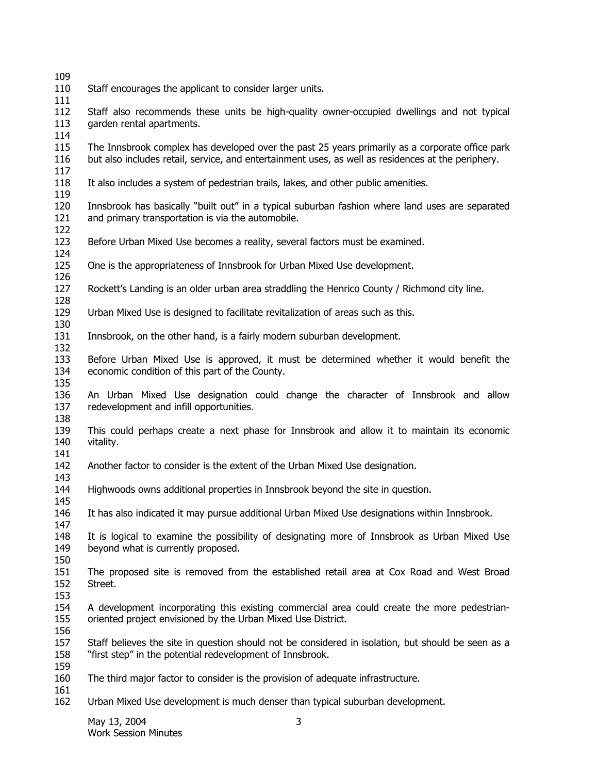- 
- Staff encourages the applicant to consider larger units.
- 

 Staff also recommends these units be high-quality owner-occupied dwellings and not typical garden rental apartments.

 The Innsbrook complex has developed over the past 25 years primarily as a corporate office park but also includes retail, service, and entertainment uses, as well as residences at the periphery.

- It also includes a system of pedestrian trails, lakes, and other public amenities.
- 

 Innsbrook has basically "built out" in a typical suburban fashion where land uses are separated and primary transportation is via the automobile.

- Before Urban Mixed Use becomes a reality, several factors must be examined.
- One is the appropriateness of Innsbrook for Urban Mixed Use development.
- Rockett's Landing is an older urban area straddling the Henrico County / Richmond city line.
- Urban Mixed Use is designed to facilitate revitalization of areas such as this.
- Innsbrook, on the other hand, is a fairly modern suburban development.
- Before Urban Mixed Use is approved, it must be determined whether it would benefit the economic condition of this part of the County.
- An Urban Mixed Use designation could change the character of Innsbrook and allow redevelopment and infill opportunities.
- This could perhaps create a next phase for Innsbrook and allow it to maintain its economic vitality.
- Another factor to consider is the extent of the Urban Mixed Use designation.
- Highwoods owns additional properties in Innsbrook beyond the site in question.
- It has also indicated it may pursue additional Urban Mixed Use designations within Innsbrook.
- It is logical to examine the possibility of designating more of Innsbrook as Urban Mixed Use beyond what is currently proposed.
- The proposed site is removed from the established retail area at Cox Road and West Broad Street.
- 
- A development incorporating this existing commercial area could create the more pedestrianoriented project envisioned by the Urban Mixed Use District.
- 

 Staff believes the site in question should not be considered in isolation, but should be seen as a "first step" in the potential redevelopment of Innsbrook.

- 
- The third major factor to consider is the provision of adequate infrastructure.
- Urban Mixed Use development is much denser than typical suburban development.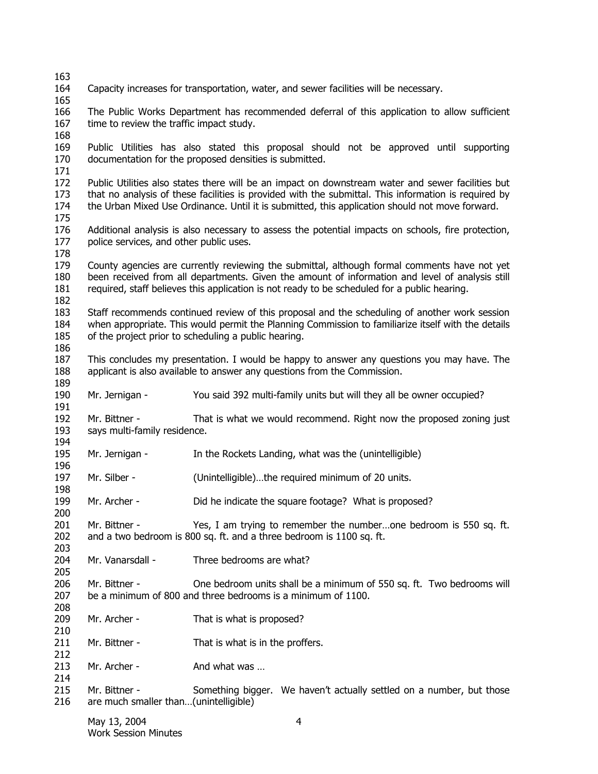| 163        |                                                                                                                                               |                                                                                                                                                                                                 |  |  |
|------------|-----------------------------------------------------------------------------------------------------------------------------------------------|-------------------------------------------------------------------------------------------------------------------------------------------------------------------------------------------------|--|--|
| 164        |                                                                                                                                               | Capacity increases for transportation, water, and sewer facilities will be necessary.                                                                                                           |  |  |
| 165        |                                                                                                                                               |                                                                                                                                                                                                 |  |  |
| 166        |                                                                                                                                               | The Public Works Department has recommended deferral of this application to allow sufficient                                                                                                    |  |  |
| 167        | time to review the traffic impact study.                                                                                                      |                                                                                                                                                                                                 |  |  |
| 168        |                                                                                                                                               |                                                                                                                                                                                                 |  |  |
| 169        |                                                                                                                                               | Public Utilities has also stated this proposal should not be approved until supporting                                                                                                          |  |  |
| 170        |                                                                                                                                               | documentation for the proposed densities is submitted.                                                                                                                                          |  |  |
| 171        |                                                                                                                                               |                                                                                                                                                                                                 |  |  |
| 172        | Public Utilities also states there will be an impact on downstream water and sewer facilities but                                             |                                                                                                                                                                                                 |  |  |
| 173        | that no analysis of these facilities is provided with the submittal. This information is required by                                          |                                                                                                                                                                                                 |  |  |
| 174        |                                                                                                                                               | the Urban Mixed Use Ordinance. Until it is submitted, this application should not move forward.                                                                                                 |  |  |
| 175        |                                                                                                                                               |                                                                                                                                                                                                 |  |  |
| 176        | Additional analysis is also necessary to assess the potential impacts on schools, fire protection,<br>police services, and other public uses. |                                                                                                                                                                                                 |  |  |
| 177        |                                                                                                                                               |                                                                                                                                                                                                 |  |  |
| 178        |                                                                                                                                               |                                                                                                                                                                                                 |  |  |
| 179        |                                                                                                                                               | County agencies are currently reviewing the submittal, although formal comments have not yet<br>been received from all departments. Given the amount of information and level of analysis still |  |  |
| 180<br>181 |                                                                                                                                               |                                                                                                                                                                                                 |  |  |
| 182        |                                                                                                                                               | required, staff believes this application is not ready to be scheduled for a public hearing.                                                                                                    |  |  |
| 183        |                                                                                                                                               | Staff recommends continued review of this proposal and the scheduling of another work session                                                                                                   |  |  |
| 184        |                                                                                                                                               | when appropriate. This would permit the Planning Commission to familiarize itself with the details                                                                                              |  |  |
| 185        |                                                                                                                                               | of the project prior to scheduling a public hearing.                                                                                                                                            |  |  |
| 186        |                                                                                                                                               |                                                                                                                                                                                                 |  |  |
| 187        |                                                                                                                                               | This concludes my presentation. I would be happy to answer any questions you may have. The                                                                                                      |  |  |
| 188        |                                                                                                                                               | applicant is also available to answer any questions from the Commission.                                                                                                                        |  |  |
| 189        |                                                                                                                                               |                                                                                                                                                                                                 |  |  |
| 190        | Mr. Jernigan -                                                                                                                                | You said 392 multi-family units but will they all be owner occupied?                                                                                                                            |  |  |
| 191        |                                                                                                                                               |                                                                                                                                                                                                 |  |  |
| 192        | Mr. Bittner -                                                                                                                                 | That is what we would recommend. Right now the proposed zoning just                                                                                                                             |  |  |
| 193        | says multi-family residence.                                                                                                                  |                                                                                                                                                                                                 |  |  |
| 194        |                                                                                                                                               |                                                                                                                                                                                                 |  |  |
| 195        | Mr. Jernigan -                                                                                                                                | In the Rockets Landing, what was the (unintelligible)                                                                                                                                           |  |  |
| 196        |                                                                                                                                               |                                                                                                                                                                                                 |  |  |
| 197        | Mr. Silber -                                                                                                                                  | (Unintelligible)the required minimum of 20 units.                                                                                                                                               |  |  |
| 198        |                                                                                                                                               |                                                                                                                                                                                                 |  |  |
| 199        | Mr. Archer -                                                                                                                                  | Did he indicate the square footage? What is proposed?                                                                                                                                           |  |  |
| 200        |                                                                                                                                               |                                                                                                                                                                                                 |  |  |
| 201        | Mr. Bittner -                                                                                                                                 | Yes, I am trying to remember the numberone bedroom is 550 sq. ft.                                                                                                                               |  |  |
| 202        |                                                                                                                                               | and a two bedroom is 800 sq. ft. and a three bedroom is 1100 sq. ft.                                                                                                                            |  |  |
| 203        |                                                                                                                                               |                                                                                                                                                                                                 |  |  |
| 204        | Mr. Vanarsdall -                                                                                                                              | Three bedrooms are what?                                                                                                                                                                        |  |  |
| 205        |                                                                                                                                               |                                                                                                                                                                                                 |  |  |
| 206        | Mr. Bittner -                                                                                                                                 | One bedroom units shall be a minimum of 550 sq. ft. Two bedrooms will                                                                                                                           |  |  |
| 207        |                                                                                                                                               | be a minimum of 800 and three bedrooms is a minimum of 1100.                                                                                                                                    |  |  |
| 208        |                                                                                                                                               |                                                                                                                                                                                                 |  |  |
| 209        | Mr. Archer -                                                                                                                                  | That is what is proposed?                                                                                                                                                                       |  |  |
| 210        |                                                                                                                                               |                                                                                                                                                                                                 |  |  |
| 211        | Mr. Bittner -                                                                                                                                 | That is what is in the proffers.                                                                                                                                                                |  |  |
| 212        |                                                                                                                                               |                                                                                                                                                                                                 |  |  |
| 213        | Mr. Archer -                                                                                                                                  | And what was                                                                                                                                                                                    |  |  |
| 214        |                                                                                                                                               |                                                                                                                                                                                                 |  |  |
| 215        | Mr. Bittner -                                                                                                                                 | Something bigger. We haven't actually settled on a number, but those                                                                                                                            |  |  |
| 216        | are much smaller than(unintelligible)                                                                                                         |                                                                                                                                                                                                 |  |  |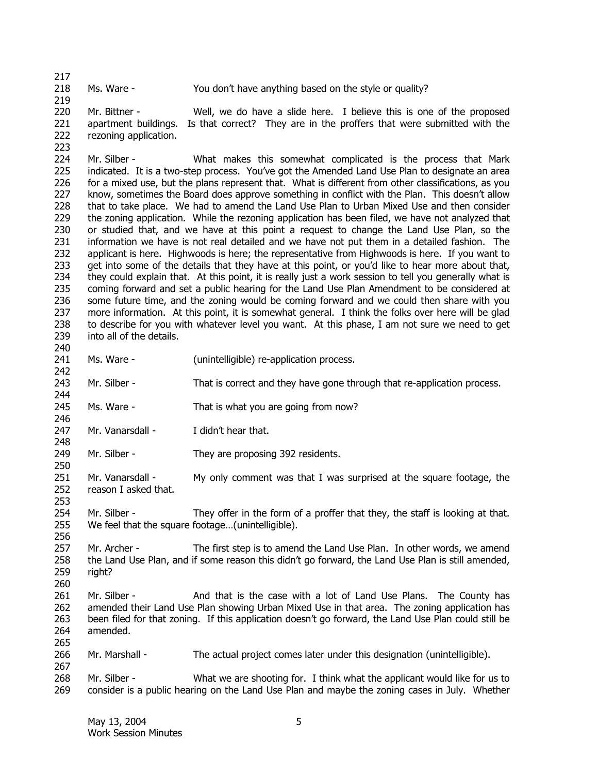218 Ms. Ware - You don't have anything based on the style or quality?

219 220 221 222 Mr. Bittner - Well, we do have a slide here. I believe this is one of the proposed apartment buildings. Is that correct? They are in the proffers that were submitted with the rezoning application.

224 225 226 227 228 229 230 231 232 233 234 235 236 237 238 239 Mr. Silber - What makes this somewhat complicated is the process that Mark indicated. It is a two-step process. You've got the Amended Land Use Plan to designate an area for a mixed use, but the plans represent that. What is different from other classifications, as you know, sometimes the Board does approve something in conflict with the Plan. This doesn't allow that to take place. We had to amend the Land Use Plan to Urban Mixed Use and then consider the zoning application. While the rezoning application has been filed, we have not analyzed that or studied that, and we have at this point a request to change the Land Use Plan, so the information we have is not real detailed and we have not put them in a detailed fashion. The applicant is here. Highwoods is here; the representative from Highwoods is here. If you want to get into some of the details that they have at this point, or you'd like to hear more about that, they could explain that. At this point, it is really just a work session to tell you generally what is coming forward and set a public hearing for the Land Use Plan Amendment to be considered at some future time, and the zoning would be coming forward and we could then share with you more information. At this point, it is somewhat general. I think the folks over here will be glad to describe for you with whatever level you want. At this phase, I am not sure we need to get into all of the details.

240

242

244

246

248

250

253

256

260

265

267

217

223

- 241 Ms. Ware - (unintelligible) re-application process.
- 243 Mr. Silber - That is correct and they have gone through that re-application process.
- 245 Ms. Ware - That is what you are going from now?
- 247 Mr. Vanarsdall - I didn't hear that.
- 249 Mr. Silber - They are proposing 392 residents.
- 251 252 Mr. Vanarsdall - My only comment was that I was surprised at the square footage, the reason I asked that.

254 255 Mr. Silber - They offer in the form of a proffer that they, the staff is looking at that. We feel that the square footage…(unintelligible).

257 258 259 Mr. Archer - The first step is to amend the Land Use Plan. In other words, we amend the Land Use Plan, and if some reason this didn't go forward, the Land Use Plan is still amended, right?

261 262 263 264 Mr. Silber - And that is the case with a lot of Land Use Plans. The County has amended their Land Use Plan showing Urban Mixed Use in that area. The zoning application has been filed for that zoning. If this application doesn't go forward, the Land Use Plan could still be amended.

266 Mr. Marshall - The actual project comes later under this designation (unintelligible).

268 269 Mr. Silber - What we are shooting for. I think what the applicant would like for us to consider is a public hearing on the Land Use Plan and maybe the zoning cases in July. Whether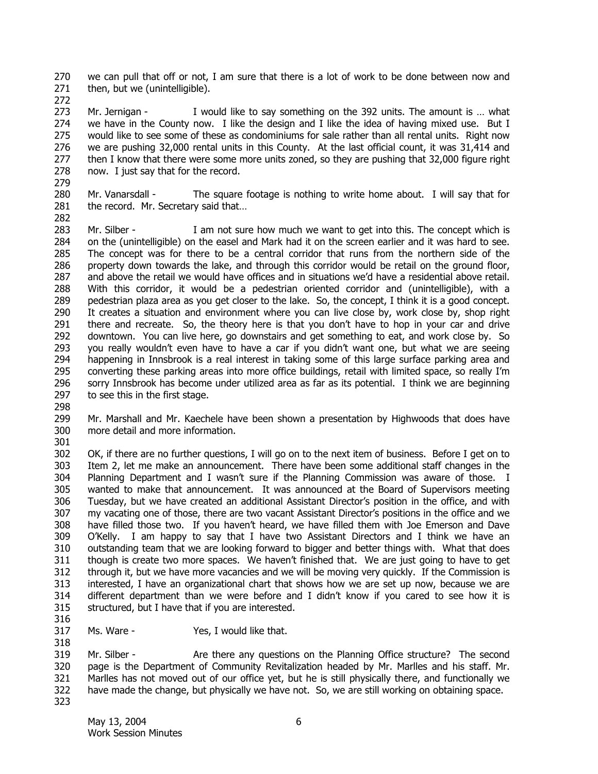270 271 we can pull that off or not, I am sure that there is a lot of work to be done between now and then, but we (unintelligible).

272

273 274 275 276 277 278 279 Mr. Jernigan - I would like to say something on the 392 units. The amount is ... what we have in the County now. I like the design and I like the idea of having mixed use. But I would like to see some of these as condominiums for sale rather than all rental units. Right now we are pushing 32,000 rental units in this County. At the last official count, it was 31,414 and then I know that there were some more units zoned, so they are pushing that 32,000 figure right now. I just say that for the record.

280 281 Mr. Vanarsdall - The square footage is nothing to write home about. I will say that for the record. Mr. Secretary said that…

282

283 284 285 286 287 288 289 290 291 292 293 294 295 296 297 Mr. Silber - I am not sure how much we want to get into this. The concept which is on the (unintelligible) on the easel and Mark had it on the screen earlier and it was hard to see. The concept was for there to be a central corridor that runs from the northern side of the property down towards the lake, and through this corridor would be retail on the ground floor, and above the retail we would have offices and in situations we'd have a residential above retail. With this corridor, it would be a pedestrian oriented corridor and (unintelligible), with a pedestrian plaza area as you get closer to the lake. So, the concept, I think it is a good concept. It creates a situation and environment where you can live close by, work close by, shop right there and recreate. So, the theory here is that you don't have to hop in your car and drive downtown. You can live here, go downstairs and get something to eat, and work close by. So you really wouldn't even have to have a car if you didn't want one, but what we are seeing happening in Innsbrook is a real interest in taking some of this large surface parking area and converting these parking areas into more office buildings, retail with limited space, so really I'm sorry Innsbrook has become under utilized area as far as its potential. I think we are beginning to see this in the first stage.

298

299 300 Mr. Marshall and Mr. Kaechele have been shown a presentation by Highwoods that does have more detail and more information.

301

302 303 304 305 306 307 308 309 310 311 312 313 314 315 OK, if there are no further questions, I will go on to the next item of business. Before I get on to Item 2, let me make an announcement. There have been some additional staff changes in the Planning Department and I wasn't sure if the Planning Commission was aware of those. I wanted to make that announcement. It was announced at the Board of Supervisors meeting Tuesday, but we have created an additional Assistant Director's position in the office, and with my vacating one of those, there are two vacant Assistant Director's positions in the office and we have filled those two. If you haven't heard, we have filled them with Joe Emerson and Dave O'Kelly. I am happy to say that I have two Assistant Directors and I think we have an outstanding team that we are looking forward to bigger and better things with. What that does though is create two more spaces. We haven't finished that. We are just going to have to get through it, but we have more vacancies and we will be moving very quickly. If the Commission is interested, I have an organizational chart that shows how we are set up now, because we are different department than we were before and I didn't know if you cared to see how it is structured, but I have that if you are interested.

- 316 317
- Ms. Ware The Yes, I would like that.

318 319 320 321 322 323 Mr. Silber - Are there any questions on the Planning Office structure? The second page is the Department of Community Revitalization headed by Mr. Marlles and his staff. Mr. Marlles has not moved out of our office yet, but he is still physically there, and functionally we have made the change, but physically we have not. So, we are still working on obtaining space.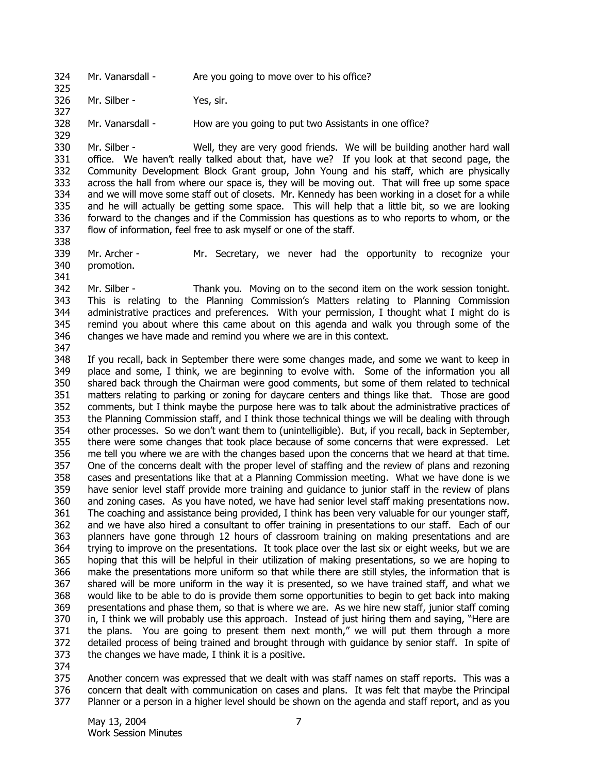324 Mr. Vanarsdall - Are you going to move over to his office?

326 Mr. Silber - Yes, sir.

328 Mr. Vanarsdall - How are you going to put two Assistants in one office?

330 331 332 333 334 335 336 337 Mr. Silber - Well, they are very good friends. We will be building another hard wall office. We haven't really talked about that, have we? If you look at that second page, the Community Development Block Grant group, John Young and his staff, which are physically across the hall from where our space is, they will be moving out. That will free up some space and we will move some staff out of closets. Mr. Kennedy has been working in a closet for a while and he will actually be getting some space. This will help that a little bit, so we are looking forward to the changes and if the Commission has questions as to who reports to whom, or the flow of information, feel free to ask myself or one of the staff.

339 340 Mr. Archer - Mr. Secretary, we never had the opportunity to recognize your promotion.

342 343 344 345 346 Mr. Silber - Thank you. Moving on to the second item on the work session tonight. This is relating to the Planning Commission's Matters relating to Planning Commission administrative practices and preferences. With your permission, I thought what I might do is remind you about where this came about on this agenda and walk you through some of the changes we have made and remind you where we are in this context.

347

325

327

329

338

341

348 349 350 351 352 353 354 355 356 357 358 359 360 361 362 363 364 365 366 367 368 369 370 371 372 373 If you recall, back in September there were some changes made, and some we want to keep in place and some, I think, we are beginning to evolve with. Some of the information you all shared back through the Chairman were good comments, but some of them related to technical matters relating to parking or zoning for daycare centers and things like that. Those are good comments, but I think maybe the purpose here was to talk about the administrative practices of the Planning Commission staff, and I think those technical things we will be dealing with through other processes. So we don't want them to (unintelligible). But, if you recall, back in September, there were some changes that took place because of some concerns that were expressed. Let me tell you where we are with the changes based upon the concerns that we heard at that time. One of the concerns dealt with the proper level of staffing and the review of plans and rezoning cases and presentations like that at a Planning Commission meeting. What we have done is we have senior level staff provide more training and guidance to junior staff in the review of plans and zoning cases. As you have noted, we have had senior level staff making presentations now. The coaching and assistance being provided, I think has been very valuable for our younger staff, and we have also hired a consultant to offer training in presentations to our staff. Each of our planners have gone through 12 hours of classroom training on making presentations and are trying to improve on the presentations. It took place over the last six or eight weeks, but we are hoping that this will be helpful in their utilization of making presentations, so we are hoping to make the presentations more uniform so that while there are still styles, the information that is shared will be more uniform in the way it is presented, so we have trained staff, and what we would like to be able to do is provide them some opportunities to begin to get back into making presentations and phase them, so that is where we are. As we hire new staff, junior staff coming in, I think we will probably use this approach. Instead of just hiring them and saying, "Here are the plans. You are going to present them next month," we will put them through a more detailed process of being trained and brought through with guidance by senior staff. In spite of the changes we have made, I think it is a positive.

374

375 376 377 Another concern was expressed that we dealt with was staff names on staff reports. This was a concern that dealt with communication on cases and plans. It was felt that maybe the Principal Planner or a person in a higher level should be shown on the agenda and staff report, and as you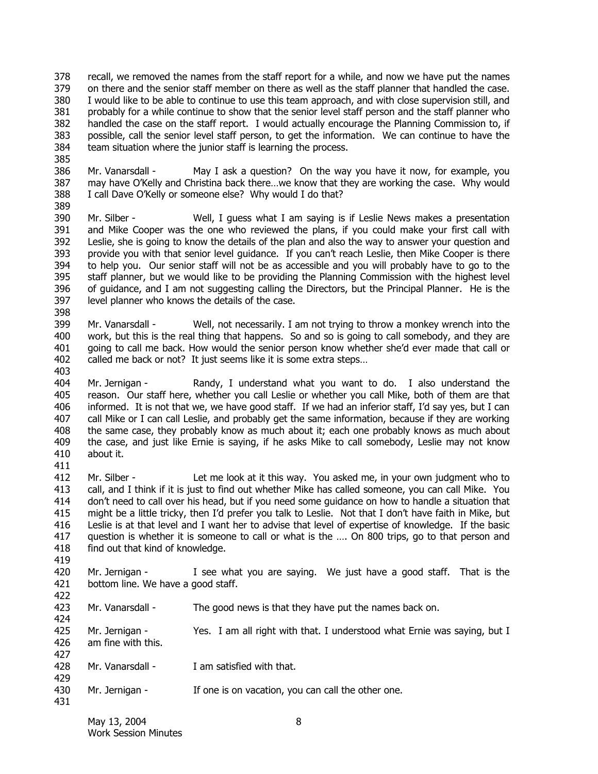378 379 380 381 382 383 384 recall, we removed the names from the staff report for a while, and now we have put the names on there and the senior staff member on there as well as the staff planner that handled the case. I would like to be able to continue to use this team approach, and with close supervision still, and probably for a while continue to show that the senior level staff person and the staff planner who handled the case on the staff report. I would actually encourage the Planning Commission to, if possible, call the senior level staff person, to get the information. We can continue to have the team situation where the junior staff is learning the process.

386 387 388 Mr. Vanarsdall - May I ask a question? On the way you have it now, for example, you may have O'Kelly and Christina back there…we know that they are working the case. Why would I call Dave O'Kelly or someone else? Why would I do that?

390 391 392 393 394 395 396 397 Mr. Silber - Well, I guess what I am saying is if Leslie News makes a presentation and Mike Cooper was the one who reviewed the plans, if you could make your first call with Leslie, she is going to know the details of the plan and also the way to answer your question and provide you with that senior level guidance. If you can't reach Leslie, then Mike Cooper is there to help you. Our senior staff will not be as accessible and you will probably have to go to the staff planner, but we would like to be providing the Planning Commission with the highest level of guidance, and I am not suggesting calling the Directors, but the Principal Planner. He is the level planner who knows the details of the case.

399 400 401 402 Mr. Vanarsdall - Well, not necessarily. I am not trying to throw a monkey wrench into the work, but this is the real thing that happens. So and so is going to call somebody, and they are going to call me back. How would the senior person know whether she'd ever made that call or called me back or not? It just seems like it is some extra steps…

404 405 406 407 408 409 410 411 Mr. Jernigan - Randy, I understand what you want to do. I also understand the reason. Our staff here, whether you call Leslie or whether you call Mike, both of them are that informed. It is not that we, we have good staff. If we had an inferior staff, I'd say yes, but I can call Mike or I can call Leslie, and probably get the same information, because if they are working the same case, they probably know as much about it; each one probably knows as much about the case, and just like Ernie is saying, if he asks Mike to call somebody, Leslie may not know about it.

412 413 414 415 416 417 418 Mr. Silber - Let me look at it this way. You asked me, in your own judgment who to call, and I think if it is just to find out whether Mike has called someone, you can call Mike. You don't need to call over his head, but if you need some guidance on how to handle a situation that might be a little tricky, then I'd prefer you talk to Leslie. Not that I don't have faith in Mike, but Leslie is at that level and I want her to advise that level of expertise of knowledge. If the basic question is whether it is someone to call or what is the …. On 800 trips, go to that person and find out that kind of knowledge.

420 421 Mr. Jernigan - I see what you are saying. We just have a good staff. That is the bottom line. We have a good staff.

- 423 Mr. Vanarsdall - The good news is that they have put the names back on.
- 425 426 427 Mr. Jernigan - Yes. I am all right with that. I understood what Ernie was saying, but I am fine with this.
- 428 429 Mr. Vanarsdall - I am satisfied with that.
- 430 Mr. Jernigan - If one is on vacation, you can call the other one.

419

422

424

385

389

398

403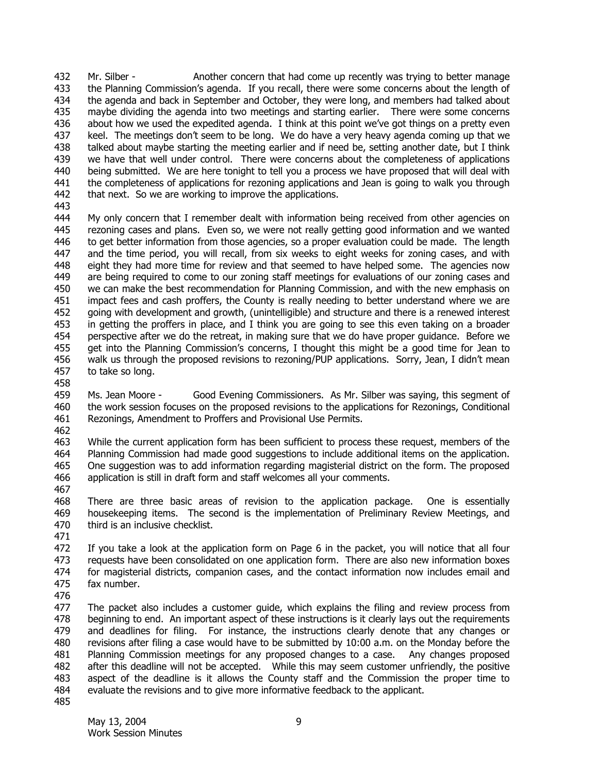432 433 434 435 436 437 438 439 440 441 442 443 Mr. Silber - Another concern that had come up recently was trying to better manage the Planning Commission's agenda. If you recall, there were some concerns about the length of the agenda and back in September and October, they were long, and members had talked about maybe dividing the agenda into two meetings and starting earlier. There were some concerns about how we used the expedited agenda. I think at this point we've got things on a pretty even keel. The meetings don't seem to be long. We do have a very heavy agenda coming up that we talked about maybe starting the meeting earlier and if need be, setting another date, but I think we have that well under control. There were concerns about the completeness of applications being submitted. We are here tonight to tell you a process we have proposed that will deal with the completeness of applications for rezoning applications and Jean is going to walk you through that next. So we are working to improve the applications.

- 444 445 446 447 448 449 450 451 452 453 454 455 456 457 My only concern that I remember dealt with information being received from other agencies on rezoning cases and plans. Even so, we were not really getting good information and we wanted to get better information from those agencies, so a proper evaluation could be made. The length and the time period, you will recall, from six weeks to eight weeks for zoning cases, and with eight they had more time for review and that seemed to have helped some. The agencies now are being required to come to our zoning staff meetings for evaluations of our zoning cases and we can make the best recommendation for Planning Commission, and with the new emphasis on impact fees and cash proffers, the County is really needing to better understand where we are going with development and growth, (unintelligible) and structure and there is a renewed interest in getting the proffers in place, and I think you are going to see this even taking on a broader perspective after we do the retreat, in making sure that we do have proper guidance. Before we get into the Planning Commission's concerns, I thought this might be a good time for Jean to walk us through the proposed revisions to rezoning/PUP applications. Sorry, Jean, I didn't mean to take so long.
- 458

459 460 461 Ms. Jean Moore - Good Evening Commissioners. As Mr. Silber was saying, this segment of the work session focuses on the proposed revisions to the applications for Rezonings, Conditional Rezonings, Amendment to Proffers and Provisional Use Permits.

462

463 464 465 466 While the current application form has been sufficient to process these request, members of the Planning Commission had made good suggestions to include additional items on the application. One suggestion was to add information regarding magisterial district on the form. The proposed application is still in draft form and staff welcomes all your comments.

467

468 469 470 There are three basic areas of revision to the application package. One is essentially housekeeping items. The second is the implementation of Preliminary Review Meetings, and third is an inclusive checklist.

471

472 473 474 475 If you take a look at the application form on Page 6 in the packet, you will notice that all four requests have been consolidated on one application form. There are also new information boxes for magisterial districts, companion cases, and the contact information now includes email and fax number.

476

477 478 479 480 481 482 483 484 The packet also includes a customer guide, which explains the filing and review process from beginning to end. An important aspect of these instructions is it clearly lays out the requirements and deadlines for filing. For instance, the instructions clearly denote that any changes or revisions after filing a case would have to be submitted by 10:00 a.m. on the Monday before the Planning Commission meetings for any proposed changes to a case. Any changes proposed after this deadline will not be accepted. While this may seem customer unfriendly, the positive aspect of the deadline is it allows the County staff and the Commission the proper time to evaluate the revisions and to give more informative feedback to the applicant.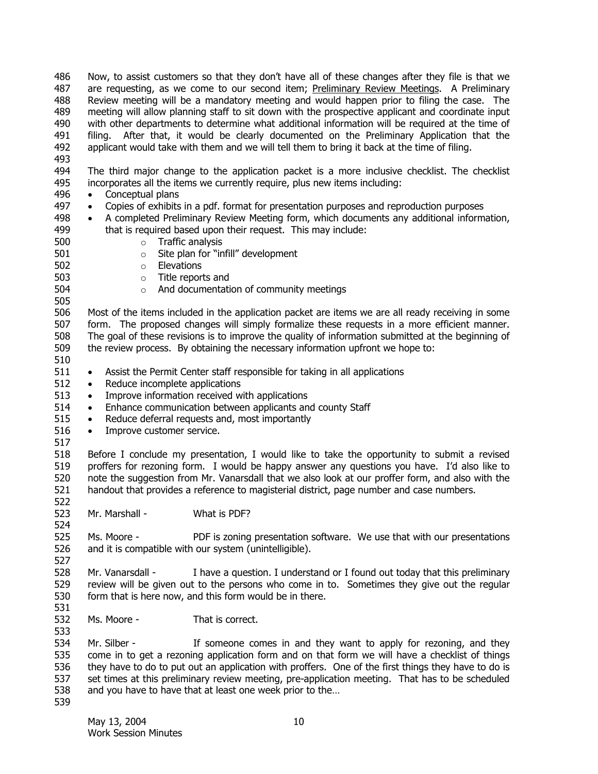Now, to assist customers so that they don't have all of these changes after they file is that we are requesting, as we come to our second item; **Preliminary Review Meetings.** A Preliminary 486 Review meeting will be a mandatory meeting and would happen prior to filing the case. The meeting will allow planning staff to sit down with the prospective applicant and coordinate input with other departments to determine what additional information will be required at the time of filing. After that, it would be clearly documented on the Preliminary Application that the applicant would take with them and we will tell them to bring it back at the time of filing. 487 488 489 490 491 492

493

494 495 The third major change to the application packet is a more inclusive checklist. The checklist incorporates all the items we currently require, plus new items including:

- 496 • Conceptual plans
- 497 • Copies of exhibits in a pdf. format for presentation purposes and reproduction purposes
- 498 499 • A completed Preliminary Review Meeting form, which documents any additional information, that is required based upon their request. This may include:
- 500 501 o Traffic analysis
	- o Site plan for "infill" development
- 502 o Elevations
	- o Title reports and
		- o And documentation of community meetings

506 507 508 509 Most of the items included in the application packet are items we are all ready receiving in some form. The proposed changes will simply formalize these requests in a more efficient manner. The goal of these revisions is to improve the quality of information submitted at the beginning of the review process. By obtaining the necessary information upfront we hope to:

510

503 504 505

- 511 • Assist the Permit Center staff responsible for taking in all applications
- 512 • Reduce incomplete applications
- 513 • Improve information received with applications
- 514 • Enhance communication between applicants and county Staff
- 515 • Reduce deferral requests and, most importantly
- 516 • Improve customer service.
- 517

524

527

533

518 519 520 521 522 Before I conclude my presentation, I would like to take the opportunity to submit a revised proffers for rezoning form. I would be happy answer any questions you have. I'd also like to note the suggestion from Mr. Vanarsdall that we also look at our proffer form, and also with the handout that provides a reference to magisterial district, page number and case numbers.

523 Mr. Marshall - What is PDF?

525 526 Ms. Moore - PDF is zoning presentation software. We use that with our presentations and it is compatible with our system (unintelligible).

528 529 530 531 Mr. Vanarsdall - I have a question. I understand or I found out today that this preliminary review will be given out to the persons who come in to. Sometimes they give out the regular form that is here now, and this form would be in there.

532 Ms. Moore - That is correct.

534 535 536 537 538 539 Mr. Silber - If someone comes in and they want to apply for rezoning, and they come in to get a rezoning application form and on that form we will have a checklist of things they have to do to put out an application with proffers. One of the first things they have to do is set times at this preliminary review meeting, pre-application meeting. That has to be scheduled and you have to have that at least one week prior to the…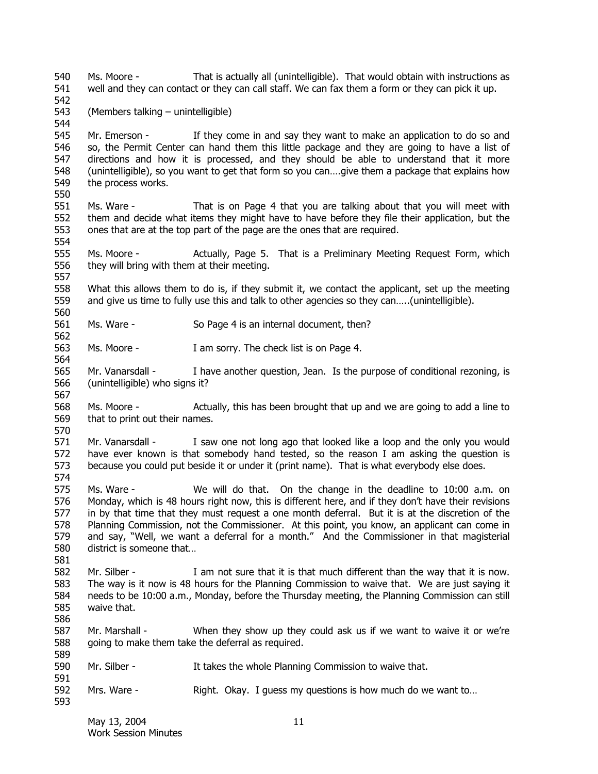540 541 542 543 544 545 546 547 548 549 550 551 552 553 554 555 556 557 558 559 560 561 562 563 564 565 566 567 568 569 570 571 572 573 574 575 576 577 578 579 580 581 582 583 584 585 586 587 588 589 590 591 592 593 Ms. Moore - That is actually all (unintelligible). That would obtain with instructions as well and they can contact or they can call staff. We can fax them a form or they can pick it up. (Members talking – unintelligible) Mr. Emerson - If they come in and say they want to make an application to do so and so, the Permit Center can hand them this little package and they are going to have a list of directions and how it is processed, and they should be able to understand that it more (unintelligible), so you want to get that form so you can….give them a package that explains how the process works. Ms. Ware - That is on Page 4 that you are talking about that you will meet with them and decide what items they might have to have before they file their application, but the ones that are at the top part of the page are the ones that are required. Ms. Moore - Actually, Page 5. That is a Preliminary Meeting Request Form, which they will bring with them at their meeting. What this allows them to do is, if they submit it, we contact the applicant, set up the meeting and give us time to fully use this and talk to other agencies so they can…..(unintelligible). Ms. Ware - So Page 4 is an internal document, then? Ms. Moore - I am sorry. The check list is on Page 4. Mr. Vanarsdall - I have another question, Jean. Is the purpose of conditional rezoning, is (unintelligible) who signs it? Ms. Moore - Actually, this has been brought that up and we are going to add a line to that to print out their names. Mr. Vanarsdall - I saw one not long ago that looked like a loop and the only you would have ever known is that somebody hand tested, so the reason I am asking the question is because you could put beside it or under it (print name). That is what everybody else does. Ms. Ware - We will do that. On the change in the deadline to 10:00 a.m. on Monday, which is 48 hours right now, this is different here, and if they don't have their revisions in by that time that they must request a one month deferral. But it is at the discretion of the Planning Commission, not the Commissioner. At this point, you know, an applicant can come in and say, "Well, we want a deferral for a month." And the Commissioner in that magisterial district is someone that… Mr. Silber - I am not sure that it is that much different than the way that it is now. The way is it now is 48 hours for the Planning Commission to waive that. We are just saying it needs to be 10:00 a.m., Monday, before the Thursday meeting, the Planning Commission can still waive that. Mr. Marshall - When they show up they could ask us if we want to waive it or we're going to make them take the deferral as required. Mr. Silber - It takes the whole Planning Commission to waive that. Mrs. Ware - Right. Okay. I guess my questions is how much do we want to...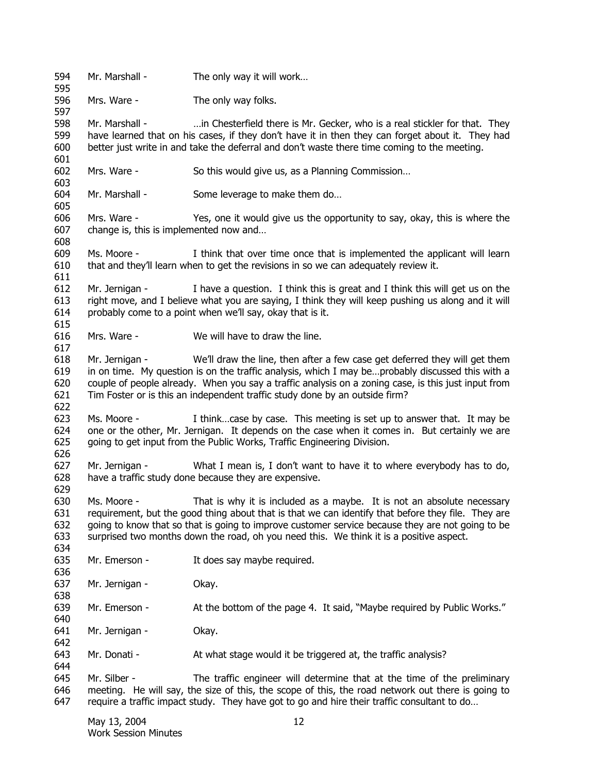594 595 596 597 598 599 600 601 602 603 604 605 606 607 608 609 610 611 612 613 614 615 616 617 618 619 620 621 622 623 624 625 626 627 628 629 630 631 632 633 634 635 636 637 638 639 640 641 642 643 644 645 646 647 Mr. Marshall - The only way it will work... Mrs. Ware - The only way folks. Mr. Marshall - …in Chesterfield there is Mr. Gecker, who is a real stickler for that. They have learned that on his cases, if they don't have it in then they can forget about it. They had better just write in and take the deferral and don't waste there time coming to the meeting. Mrs. Ware - So this would give us, as a Planning Commission... Mr. Marshall - Some leverage to make them do... Mrs. Ware - Yes, one it would give us the opportunity to say, okay, this is where the change is, this is implemented now and… Ms. Moore - I think that over time once that is implemented the applicant will learn that and they'll learn when to get the revisions in so we can adequately review it. Mr. Jernigan - I have a question. I think this is great and I think this will get us on the right move, and I believe what you are saying, I think they will keep pushing us along and it will probably come to a point when we'll say, okay that is it. Mrs. Ware - We will have to draw the line. Mr. Jernigan - We'll draw the line, then after a few case get deferred they will get them in on time. My question is on the traffic analysis, which I may be…probably discussed this with a couple of people already. When you say a traffic analysis on a zoning case, is this just input from Tim Foster or is this an independent traffic study done by an outside firm? Ms. Moore - I think...case by case. This meeting is set up to answer that. It may be one or the other, Mr. Jernigan. It depends on the case when it comes in. But certainly we are going to get input from the Public Works, Traffic Engineering Division. Mr. Jernigan - What I mean is, I don't want to have it to where everybody has to do, have a traffic study done because they are expensive. Ms. Moore - That is why it is included as a maybe. It is not an absolute necessary requirement, but the good thing about that is that we can identify that before they file. They are going to know that so that is going to improve customer service because they are not going to be surprised two months down the road, oh you need this. We think it is a positive aspect. Mr. Emerson - It does say maybe required. Mr. Jernigan - Okay. Mr. Emerson - At the bottom of the page 4. It said, "Maybe required by Public Works." Mr. Jernigan - Okay. Mr. Donati - At what stage would it be triggered at, the traffic analysis? Mr. Silber - The traffic engineer will determine that at the time of the preliminary meeting. He will say, the size of this, the scope of this, the road network out there is going to require a traffic impact study. They have got to go and hire their traffic consultant to do…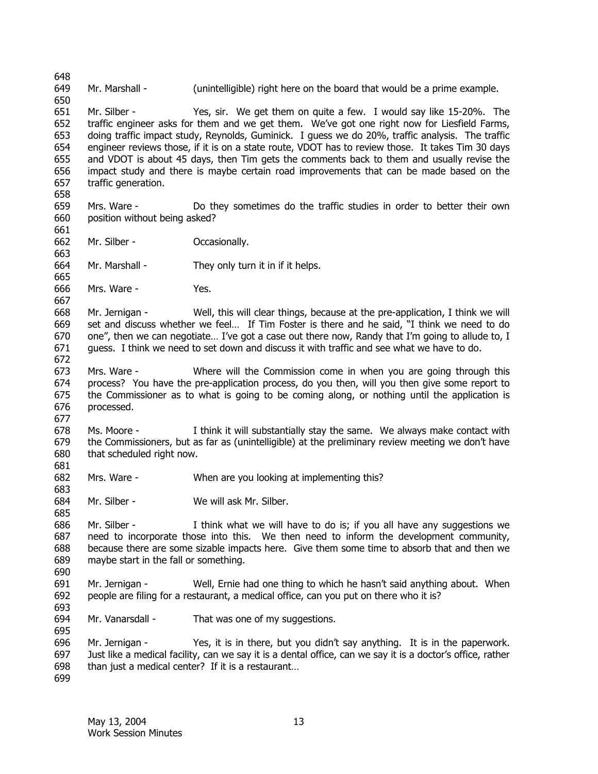651 652 653 654 655 656 657 658 659 660 661 662 663 664 665 666 667 668 669 670 671 672 673 674 675 676 677 678 679 680 681 682 683 684 685 686 687 688 689 690 691 692 693 694 695 696 697 698 699 Mr. Silber - Yes, sir. We get them on quite a few. I would say like 15-20%. The traffic engineer asks for them and we get them. We've got one right now for Liesfield Farms, doing traffic impact study, Reynolds, Guminick. I guess we do 20%, traffic analysis. The traffic engineer reviews those, if it is on a state route, VDOT has to review those. It takes Tim 30 days and VDOT is about 45 days, then Tim gets the comments back to them and usually revise the impact study and there is maybe certain road improvements that can be made based on the traffic generation. Mrs. Ware - Do they sometimes do the traffic studies in order to better their own position without being asked? Mr. Silber - Cocasionally. Mr. Marshall - They only turn it in if it helps. Mrs. Ware - Yes. Mr. Jernigan - Well, this will clear things, because at the pre-application, I think we will set and discuss whether we feel… If Tim Foster is there and he said, "I think we need to do one", then we can negotiate… I've got a case out there now, Randy that I'm going to allude to, I guess. I think we need to set down and discuss it with traffic and see what we have to do. Mrs. Ware - Where will the Commission come in when you are going through this process? You have the pre-application process, do you then, will you then give some report to the Commissioner as to what is going to be coming along, or nothing until the application is processed. Ms. Moore - I think it will substantially stay the same. We always make contact with the Commissioners, but as far as (unintelligible) at the preliminary review meeting we don't have that scheduled right now. Mrs. Ware - When are you looking at implementing this? Mr. Silber - We will ask Mr. Silber. Mr. Silber -  $I$  think what we will have to do is; if you all have any suggestions we need to incorporate those into this. We then need to inform the development community, because there are some sizable impacts here. Give them some time to absorb that and then we maybe start in the fall or something. Mr. Jernigan - Well, Ernie had one thing to which he hasn't said anything about. When people are filing for a restaurant, a medical office, can you put on there who it is? Mr. Vanarsdall - That was one of my suggestions. Mr. Jernigan - Yes, it is in there, but you didn't say anything. It is in the paperwork. Just like a medical facility, can we say it is a dental office, can we say it is a doctor's office, rather than just a medical center? If it is a restaurant…

Mr. Marshall - (unintelligible) right here on the board that would be a prime example.

648 649 650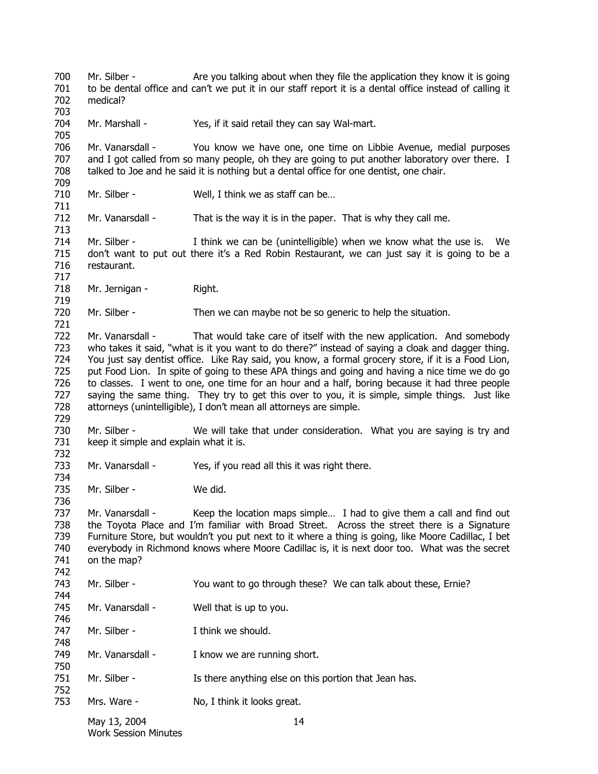700 701 702 703 Mr. Silber - Are you talking about when they file the application they know it is going to be dental office and can't we put it in our staff report it is a dental office instead of calling it medical?

704 Mr. Marshall - Yes, if it said retail they can say Wal-mart.

706 707 708 709 Mr. Vanarsdall - You know we have one, one time on Libbie Avenue, medial purposes and I got called from so many people, oh they are going to put another laboratory over there. I talked to Joe and he said it is nothing but a dental office for one dentist, one chair.

710 Mr. Silber - Well, I think we as staff can be...

712 Mr. Vanarsdall - That is the way it is in the paper. That is why they call me.

714 715 716 717 Mr. Silber - I think we can be (unintelligible) when we know what the use is. We don't want to put out there it's a Red Robin Restaurant, we can just say it is going to be a restaurant.

718 Mr. Jernigan - Right.

705

711

713

719

721

729

734

736

744

746

748

750

752

720 Mr. Silber - Then we can maybe not be so generic to help the situation.

722 723 724 725 726 727 728 Mr. Vanarsdall - That would take care of itself with the new application. And somebody who takes it said, "what is it you want to do there?" instead of saying a cloak and dagger thing. You just say dentist office. Like Ray said, you know, a formal grocery store, if it is a Food Lion, put Food Lion. In spite of going to these APA things and going and having a nice time we do go to classes. I went to one, one time for an hour and a half, boring because it had three people saying the same thing. They try to get this over to you, it is simple, simple things. Just like attorneys (unintelligible), I don't mean all attorneys are simple.

730 731 732 Mr. Silber - We will take that under consideration. What you are saying is try and keep it simple and explain what it is.

733 Mr. Vanarsdall - Yes, if you read all this it was right there.

735 Mr. Silber - We did.

737 738 739 740 741 742 Mr. Vanarsdall - Keep the location maps simple... I had to give them a call and find out the Toyota Place and I'm familiar with Broad Street. Across the street there is a Signature Furniture Store, but wouldn't you put next to it where a thing is going, like Moore Cadillac, I bet everybody in Richmond knows where Moore Cadillac is, it is next door too. What was the secret on the map?

743 Mr. Silber - You want to go through these? We can talk about these, Ernie?

745 Mr. Vanarsdall - Well that is up to you.

747 Mr. Silber - Think we should.

749 Mr. Vanarsdall - I know we are running short.

751 Mr. Silber - Is there anything else on this portion that Jean has.

753 Mrs. Ware - No, I think it looks great.

> May 13, 2004 14 Work Session Minutes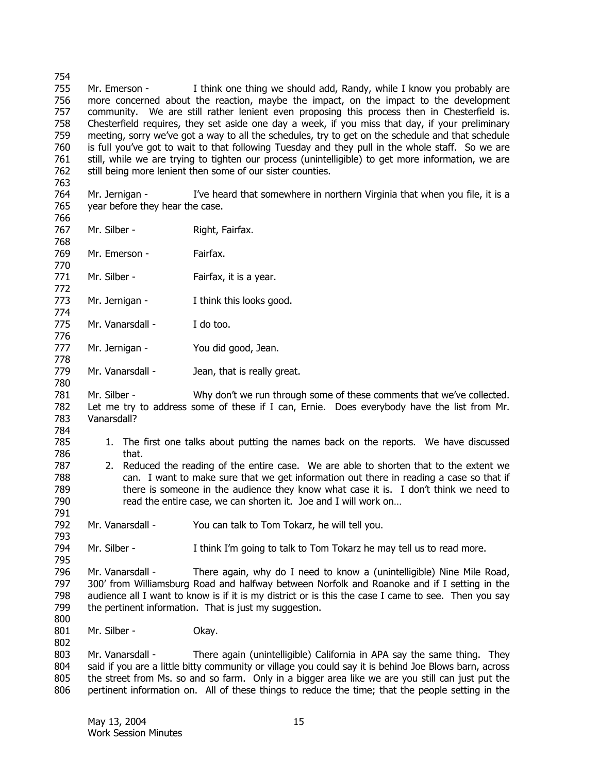754 755 756 757 758 759 760 761 762 763 Mr. Emerson - I think one thing we should add, Randy, while I know you probably are more concerned about the reaction, maybe the impact, on the impact to the development community. We are still rather lenient even proposing this process then in Chesterfield is. Chesterfield requires, they set aside one day a week, if you miss that day, if your preliminary meeting, sorry we've got a way to all the schedules, try to get on the schedule and that schedule is full you've got to wait to that following Tuesday and they pull in the whole staff. So we are still, while we are trying to tighten our process (unintelligible) to get more information, we are still being more lenient then some of our sister counties.

- 764 765 Mr. Jernigan - I've heard that somewhere in northern Virginia that when you file, it is a year before they hear the case.
- 767 Mr. Silber - Right, Fairfax.
- 768 769 Mr. Emerson - Fairfax.

766

770

772

774

776

778

780

784 785 786

791

793

795

802

- 771 Mr. Silber - Fairfax, it is a year.
- 773 Mr. Jernigan - I think this looks good.
- 775 Mr. Vanarsdall - I do too.
- 777 Mr. Jernigan - You did good, Jean.
- 779 Mr. Vanarsdall - Jean, that is really great.

781 782 783 Mr. Silber - Why don't we run through some of these comments that we've collected. Let me try to address some of these if I can, Ernie. Does everybody have the list from Mr. Vanarsdall?

- 1. The first one talks about putting the names back on the reports. We have discussed that.
- 787 788 789 790 2. Reduced the reading of the entire case. We are able to shorten that to the extent we can. I want to make sure that we get information out there in reading a case so that if there is someone in the audience they know what case it is. I don't think we need to read the entire case, we can shorten it. Joe and I will work on…
- 792 Mr. Vanarsdall - You can talk to Tom Tokarz, he will tell you.
- 794 Mr. Silber - I think I'm going to talk to Tom Tokarz he may tell us to read more.

796 797 798 799 800 Mr. Vanarsdall - There again, why do I need to know a (unintelligible) Nine Mile Road, 300' from Williamsburg Road and halfway between Norfolk and Roanoke and if I setting in the audience all I want to know is if it is my district or is this the case I came to see. Then you say the pertinent information. That is just my suggestion.

801 Mr. Silber - Okay.

803 804 805 806 Mr. Vanarsdall - There again (unintelligible) California in APA say the same thing. They said if you are a little bitty community or village you could say it is behind Joe Blows barn, across the street from Ms. so and so farm. Only in a bigger area like we are you still can just put the pertinent information on. All of these things to reduce the time; that the people setting in the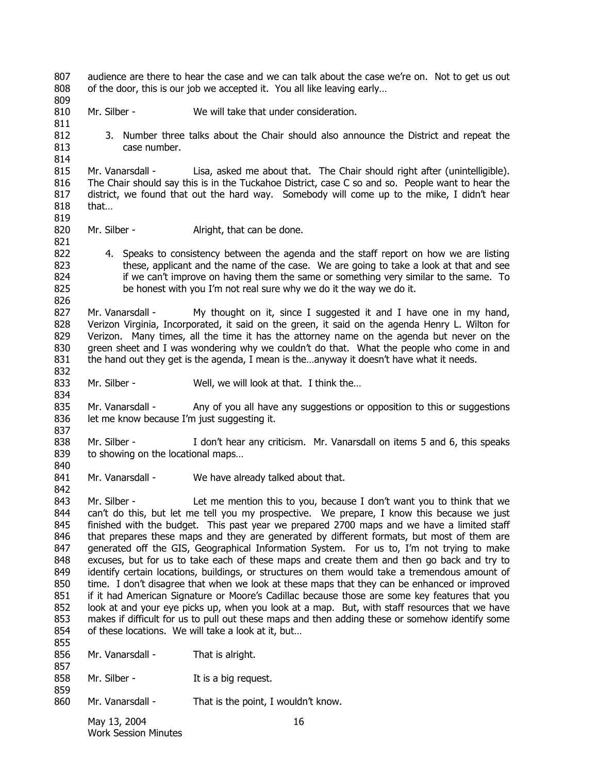807 808 audience are there to hear the case and we can talk about the case we're on. Not to get us out of the door, this is our job we accepted it. You all like leaving early…

- 810 Mr. Silber - We will take that under consideration.
	- 3. Number three talks about the Chair should also announce the District and repeat the case number.

815 816 817 818 819 Mr. Vanarsdall - Lisa, asked me about that. The Chair should right after (unintelligible). The Chair should say this is in the Tuckahoe District, case C so and so. People want to hear the district, we found that out the hard way. Somebody will come up to the mike, I didn't hear that…

820 Mr. Silber - **Alright, that can be done.** 

809

821

832

834

840

842

822 823 824 825 826 4. Speaks to consistency between the agenda and the staff report on how we are listing these, applicant and the name of the case. We are going to take a look at that and see if we can't improve on having them the same or something very similar to the same. To be honest with you I'm not real sure why we do it the way we do it.

827 828 829 830 831 Mr. Vanarsdall - My thought on it, since I suggested it and I have one in my hand, Verizon Virginia, Incorporated, it said on the green, it said on the agenda Henry L. Wilton for Verizon. Many times, all the time it has the attorney name on the agenda but never on the green sheet and I was wondering why we couldn't do that. What the people who come in and the hand out they get is the agenda, I mean is the…anyway it doesn't have what it needs.

833 Mr. Silber - Well, we will look at that. I think the...

835 836 837 Mr. Vanarsdall - Any of you all have any suggestions or opposition to this or suggestions let me know because I'm just suggesting it.

- 838 839 Mr. Silber - I don't hear any criticism. Mr. Vanarsdall on items 5 and 6, this speaks to showing on the locational maps…
- 841 Mr. Vanarsdall - We have already talked about that.

843 844 845 846 847 848 849 850 851 852 853 854 855 Mr. Silber - Let me mention this to you, because I don't want you to think that we can't do this, but let me tell you my prospective. We prepare, I know this because we just finished with the budget. This past year we prepared 2700 maps and we have a limited staff that prepares these maps and they are generated by different formats, but most of them are generated off the GIS, Geographical Information System. For us to, I'm not trying to make excuses, but for us to take each of these maps and create them and then go back and try to identify certain locations, buildings, or structures on them would take a tremendous amount of time. I don't disagree that when we look at these maps that they can be enhanced or improved if it had American Signature or Moore's Cadillac because those are some key features that you look at and your eye picks up, when you look at a map. But, with staff resources that we have makes if difficult for us to pull out these maps and then adding these or somehow identify some of these locations. We will take a look at it, but…

856 857 858 859 860 Mr. Vanarsdall - That is alright. Mr. Silber - It is a big request. Mr. Vanarsdall - That is the point, I wouldn't know.

> May 13, 2004 16 Work Session Minutes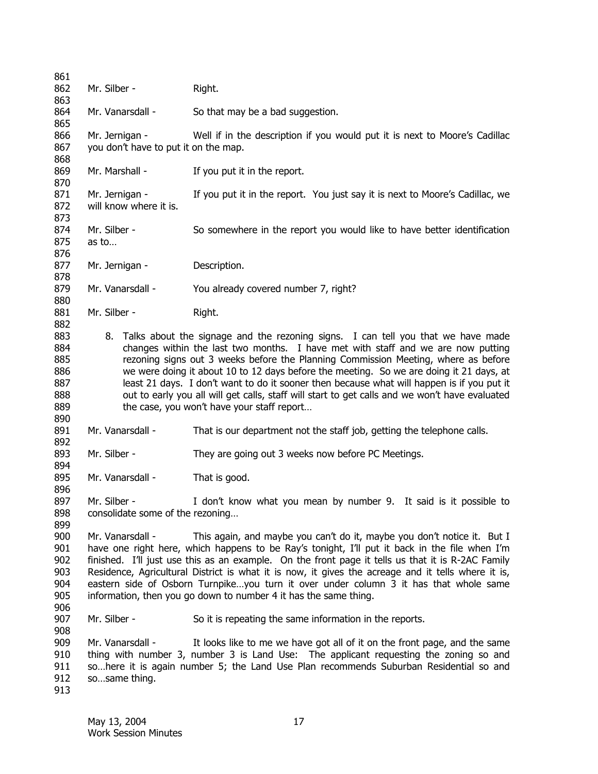861 862 863 864 865 866 867 868 869 870 871 872 873 874 875 876 877 878 879 880 881 882 883 884 885 886 887 888 889 890 891 892 893 894 895 896 897 898 899 900 901 902 903 904 905 906 907 908 909 910 911 912 913 Mr. Silber - Right. Mr. Vanarsdall - So that may be a bad suggestion. Mr. Jernigan - Well if in the description if you would put it is next to Moore's Cadillac you don't have to put it on the map. Mr. Marshall - If you put it in the report. Mr. Jernigan - If you put it in the report. You just say it is next to Moore's Cadillac, we will know where it is. Mr. Silber - So somewhere in the report you would like to have better identification as to… Mr. Jernigan - Description. Mr. Vanarsdall - You already covered number 7, right? Mr. Silber - Right. 8. Talks about the signage and the rezoning signs. I can tell you that we have made changes within the last two months. I have met with staff and we are now putting rezoning signs out 3 weeks before the Planning Commission Meeting, where as before we were doing it about 10 to 12 days before the meeting. So we are doing it 21 days, at least 21 days. I don't want to do it sooner then because what will happen is if you put it out to early you all will get calls, staff will start to get calls and we won't have evaluated the case, you won't have your staff report… Mr. Vanarsdall - That is our department not the staff job, getting the telephone calls. Mr. Silber - They are going out 3 weeks now before PC Meetings. Mr. Vanarsdall - That is good. Mr. Silber - I don't know what you mean by number 9. It said is it possible to consolidate some of the rezoning… Mr. Vanarsdall - This again, and maybe you can't do it, maybe you don't notice it. But I have one right here, which happens to be Ray's tonight, I'll put it back in the file when I'm finished. I'll just use this as an example. On the front page it tells us that it is R-2AC Family Residence, Agricultural District is what it is now, it gives the acreage and it tells where it is, eastern side of Osborn Turnpike…you turn it over under column 3 it has that whole same information, then you go down to number 4 it has the same thing. Mr. Silber - So it is repeating the same information in the reports. Mr. Vanarsdall - It looks like to me we have got all of it on the front page, and the same thing with number 3, number 3 is Land Use: The applicant requesting the zoning so and so…here it is again number 5; the Land Use Plan recommends Suburban Residential so and so…same thing.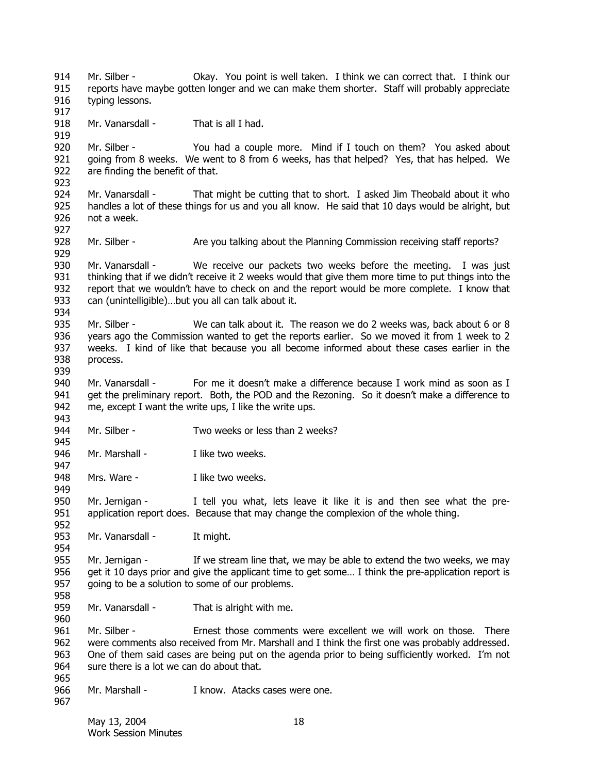914 915 916 917 918 919 920 921 922 923 924 925 926 927 928 929 930 931 932 933 934 935 936 937 938 939 940 941 942 943 944 945 946 947 948 949 950 951 952 953 954 955 956 957 958 959 960 961 962 963 964 965 966 967 Mr. Silber - Okay. You point is well taken. I think we can correct that. I think our reports have maybe gotten longer and we can make them shorter. Staff will probably appreciate typing lessons. Mr. Vanarsdall - That is all I had. Mr. Silber - You had a couple more. Mind if I touch on them? You asked about going from 8 weeks. We went to 8 from 6 weeks, has that helped? Yes, that has helped. We are finding the benefit of that. Mr. Vanarsdall - That might be cutting that to short. I asked Jim Theobald about it who handles a lot of these things for us and you all know. He said that 10 days would be alright, but not a week. Mr. Silber - Are you talking about the Planning Commission receiving staff reports? Mr. Vanarsdall - We receive our packets two weeks before the meeting. I was just thinking that if we didn't receive it 2 weeks would that give them more time to put things into the report that we wouldn't have to check on and the report would be more complete. I know that can (unintelligible)…but you all can talk about it. Mr. Silber - We can talk about it. The reason we do 2 weeks was, back about 6 or 8 years ago the Commission wanted to get the reports earlier. So we moved it from 1 week to 2 weeks. I kind of like that because you all become informed about these cases earlier in the process. Mr. Vanarsdall - For me it doesn't make a difference because I work mind as soon as I get the preliminary report. Both, the POD and the Rezoning. So it doesn't make a difference to me, except I want the write ups, I like the write ups. Mr. Silber - Two weeks or less than 2 weeks? Mr. Marshall - I like two weeks. Mrs. Ware - Thike two weeks. Mr. Jernigan - I tell you what, lets leave it like it is and then see what the preapplication report does. Because that may change the complexion of the whole thing. Mr. Vanarsdall - It might. Mr. Jernigan - If we stream line that, we may be able to extend the two weeks, we may get it 10 days prior and give the applicant time to get some… I think the pre-application report is going to be a solution to some of our problems. Mr. Vanarsdall - That is alright with me. Mr. Silber - Ernest those comments were excellent we will work on those. There were comments also received from Mr. Marshall and I think the first one was probably addressed. One of them said cases are being put on the agenda prior to being sufficiently worked. I'm not sure there is a lot we can do about that. Mr. Marshall - The Music Limbus Cases were one.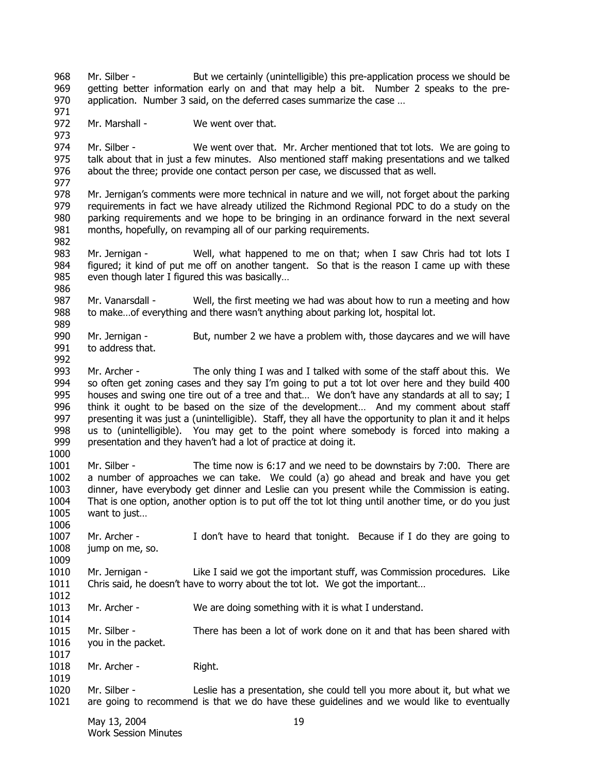968 969 970 971 Mr. Silber - But we certainly (unintelligible) this pre-application process we should be getting better information early on and that may help a bit. Number 2 speaks to the preapplication. Number 3 said, on the deferred cases summarize the case …

972 Mr. Marshall - We went over that.

973

986

992

1000

1006

1009

1014

1019

974 975 976 Mr. Silber - We went over that. Mr. Archer mentioned that tot lots. We are going to talk about that in just a few minutes. Also mentioned staff making presentations and we talked about the three; provide one contact person per case, we discussed that as well.

977 978 979 980 981 982 Mr. Jernigan's comments were more technical in nature and we will, not forget about the parking requirements in fact we have already utilized the Richmond Regional PDC to do a study on the parking requirements and we hope to be bringing in an ordinance forward in the next several months, hopefully, on revamping all of our parking requirements.

983 984 985 Mr. Jernigan - Well, what happened to me on that; when I saw Chris had tot lots I figured; it kind of put me off on another tangent. So that is the reason I came up with these even though later I figured this was basically…

987 988 989 Mr. Vanarsdall - Well, the first meeting we had was about how to run a meeting and how to make…of everything and there wasn't anything about parking lot, hospital lot.

- 990 991 Mr. Jernigan - But, number 2 we have a problem with, those daycares and we will have to address that.
- 993 994 995 996 997 998 999 Mr. Archer - The only thing I was and I talked with some of the staff about this. We so often get zoning cases and they say I'm going to put a tot lot over here and they build 400 houses and swing one tire out of a tree and that... We don't have any standards at all to say; I think it ought to be based on the size of the development… And my comment about staff presenting it was just a (unintelligible). Staff, they all have the opportunity to plan it and it helps us to (unintelligible). You may get to the point where somebody is forced into making a presentation and they haven't had a lot of practice at doing it.
- 1001 1002 1003 1004 1005 Mr. Silber - The time now is 6:17 and we need to be downstairs by 7:00. There are a number of approaches we can take. We could (a) go ahead and break and have you get dinner, have everybody get dinner and Leslie can you present while the Commission is eating. That is one option, another option is to put off the tot lot thing until another time, or do you just want to just…
- 1007 1008 Mr. Archer - I don't have to heard that tonight. Because if I do they are going to jump on me, so.

1010 1011 1012 Mr. Jernigan - Like I said we got the important stuff, was Commission procedures. Like Chris said, he doesn't have to worry about the tot lot. We got the important…

- 1013 Mr. Archer - We are doing something with it is what I understand.
- 1015 1016 1017 Mr. Silber - There has been a lot of work done on it and that has been shared with you in the packet.
- 1018 Mr. Archer - Right.
- 1020 1021 Mr. Silber - Leslie has a presentation, she could tell you more about it, but what we are going to recommend is that we do have these guidelines and we would like to eventually